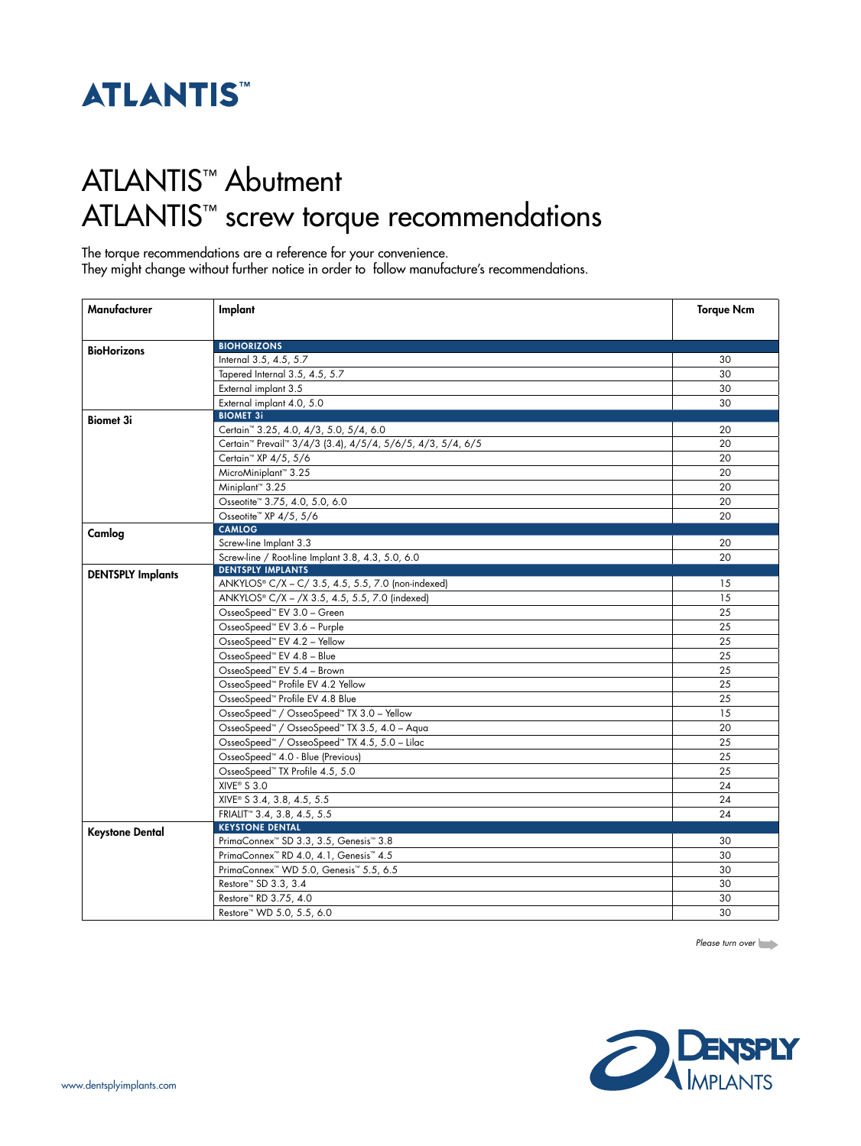

## ATLANTIS™ Abutment ATLANTIS™ screw torque recommendations

The torque recommendations are a reference for your convenience.

They might change without further notice in order to follow manufacture's recommendations.

| Manufacturer             | Implant                                                                            | <b>Torque Ncm</b> |
|--------------------------|------------------------------------------------------------------------------------|-------------------|
|                          |                                                                                    |                   |
| <b>BioHorizons</b>       | <b>BIOHORIZONS</b>                                                                 |                   |
|                          | Internal 3.5, 4.5, 5.7                                                             | 30                |
|                          | Tapered Internal 3.5, 4.5, 5.7                                                     | 30                |
|                          | External implant 3.5                                                               | 30                |
|                          | External implant 4.0, 5.0                                                          | 30                |
| <b>Biomet 3i</b>         | <b>BIOMET 3i</b>                                                                   |                   |
|                          | Certain <sup>™</sup> 3.25, 4.0, 4/3, 5.0, 5/4, 6.0                                 | 20                |
|                          | Certain <sup>™</sup> Prevail <sup>™</sup> 3/4/3 (3.4), 4/5/4, 5/6/5, 4/3, 5/4, 6/5 | 20                |
|                          | Certain <sup>™</sup> XP 4/5, 5/6                                                   | 20                |
|                          | MicroMiniplant™ 3.25                                                               | 20                |
|                          | Miniplant <sup>™</sup> 3.25                                                        | 20                |
|                          | Osseotite™ 3.75, 4.0, 5.0, 6.0                                                     | 20                |
|                          | Osseotite™ XP 4/5, 5/6                                                             | 20                |
| Camlog                   | <b>CAMLOG</b>                                                                      |                   |
|                          | Screw-line Implant 3.3                                                             | 20                |
|                          | Screw-line / Root-line Implant 3.8, 4.3, 5.0, 6.0                                  | 20                |
| <b>DENTSPLY Implants</b> | <b>DENTSPLY IMPLANTS</b>                                                           |                   |
|                          | ANKYLOS® C/X - C/ 3.5, 4.5, 5.5, 7.0 (non-indexed)                                 | 15                |
|                          | ANKYLOS® C/X - /X 3.5, 4.5, 5.5, 7.0 (indexed)                                     | 15                |
|                          | OsseoSpeed™ EV 3.0 - Green                                                         | 25                |
|                          | OsseoSpeed <sup>**</sup> EV 3.6 - Purple                                           | 25                |
|                          | OsseoSpeed™ EV 4.2 - Yellow                                                        | 25                |
|                          | OsseoSpeed™ EV 4.8 - Blue                                                          | 25                |
|                          | OsseoSpeed™ EV 5.4 - Brown                                                         | 25                |
|                          | OsseoSpeed <sup>**</sup> Profile EV 4.2 Yellow                                     | 25                |
|                          | OsseoSpeed™ Profile EV 4.8 Blue                                                    | 25                |
|                          | OsseoSpeed <sup>™</sup> / OsseoSpeed™ TX 3.0 - Yellow                              | 15                |
|                          | OsseoSpeed™ / OsseoSpeed™ TX 3.5, 4.0 - Aqua                                       | 20                |
|                          | OsseoSpeed™ / OsseoSpeed™ TX 4.5, 5.0 - Lilac                                      | 25                |
|                          | OsseoSpeed™ 4.0 - Blue (Previous)                                                  | 25                |
|                          | OsseoSpeed™ TX Profile 4.5, 5.0                                                    | 25                |
|                          | $XIVE^* S 3.0$                                                                     | 24                |
|                          | XIVE® S 3.4, 3.8, 4.5, 5.5                                                         | 24                |
|                          | FRIALIT <sup>*</sup> 3.4, 3.8, 4.5, 5.5                                            | 24                |
|                          | <b>KEYSTONE DENTAL</b>                                                             |                   |
| <b>Keystone Dental</b>   | PrimaConnex <sup>™</sup> SD 3.3, 3.5, Genesis <sup>™</sup> 3.8                     | 30                |
|                          | PrimaConnex <sup>™</sup> RD 4.0, 4.1, Genesis™ 4.5                                 | 30                |
|                          | PrimaConnex <sup>™</sup> WD 5.0, Genesis <sup>™</sup> 5.5, 6.5                     | 30                |
|                          | Restore™ SD 3.3, 3.4                                                               | 30                |
|                          | Restore™ RD 3.75, 4.0                                                              | 30                |
|                          | Restore™ WD 5.0, 5.5, 6.0                                                          | 30                |

*Please turn over*